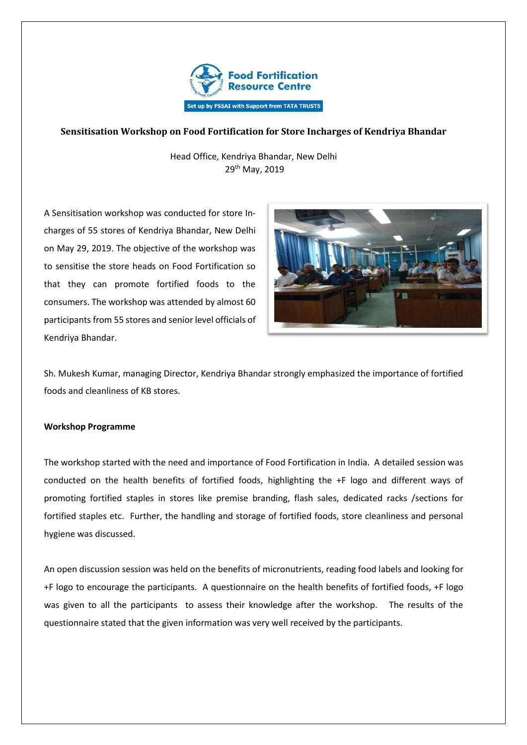

## **Sensitisation Workshop on Food Fortification for Store Incharges of Kendriya Bhandar**

Head Office, Kendriya Bhandar, New Delhi 29th May, 2019

A Sensitisation workshop was conducted for store Incharges of 55 stores of Kendriya Bhandar, New Delhi on May 29, 2019. The objective of the workshop was to sensitise the store heads on Food Fortification so that they can promote fortified foods to the consumers. The workshop was attended by almost 60 participants from 55 stores and senior level officials of Kendriya Bhandar.



Sh. Mukesh Kumar, managing Director, Kendriya Bhandar strongly emphasized the importance of fortified foods and cleanliness of KB stores.

## **Workshop Programme**

The workshop started with the need and importance of Food Fortification in India. A detailed session was conducted on the health benefits of fortified foods, highlighting the +F logo and different ways of promoting fortified staples in stores like premise branding, flash sales, dedicated racks /sections for fortified staples etc. Further, the handling and storage of fortified foods, store cleanliness and personal hygiene was discussed.

An open discussion session was held on the benefits of micronutrients, reading food labels and looking for +F logo to encourage the participants. A questionnaire on the health benefits of fortified foods, +F logo was given to all the participants to assess their knowledge after the workshop. The results of the questionnaire stated that the given information was very well received by the participants.